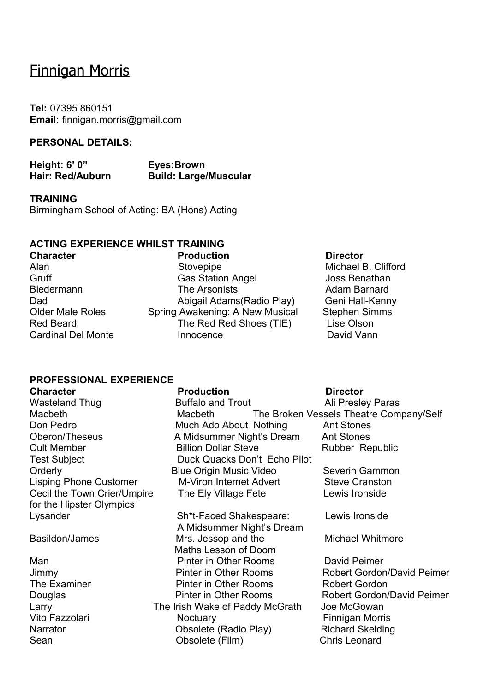# Finnigan Morris

**Tel:** 07395 860151 **Email:** finnigan.morris@gmail.com

### **PERSONAL DETAILS:**

**Height: 6' 0" Eyes:Brown Hair: Red/Auburn Build: Large/Muscular**

**TRAINING** Birmingham School of Acting: BA (Hons) Acting

### **ACTING EXPERIENCE WHILST TRAINING**

**Character Character Production Production Director** Alan **Alan** Stovepipe Michael B. Clifford Gruff Gruff Gas Station Angel Joss Benathan Biedermann The Arsonists Adam Barnard Dad Abigail Adams(Radio Play) Geni Hall-Kenny Older Male Roles Spring Awakening: A New Musical Stephen Simms Red Beard The Red Red Shoes (TIE) Lise Olson Cardinal Del Monte Innocence David Vann

A Midsummer Night's Dream

Maths Lesson of Doom

### **PROFESSIONAL EXPERIENCE**

**Character Production Director** for the Hipster Olympics Lysander Sh\*t-Faced Shakespeare: Lewis Ironside

Man **Pinter in Other Rooms** David Peimer Larry **The Irish Wake of Paddy McGrath** Joe McGowan Sean Chris Leonard Cobsolete (Film) Chris Leonard

Wasteland Thug **Buffalo and Trout Ali Presley Paras** Macbeth Macbeth The Broken Vessels Theatre Company/Self Don Pedro **Much Ado About Nothing** Ant Stones Oberon/Theseus A Midsummer Night's Dream Ant Stones Cult Member **Billion Dollar Steve** Rubber Republic Test Subject **Duck Quacks Don't Echo Pilot** Orderly **Blue Origin Music Video** Severin Gammon Lisping Phone Customer M-Viron Internet Advert Steve Cranston Cecil the Town Crier/Umpire The Ely Village Fete Lewis Ironside

Basildon/James **Mrs. Jessop and the Michael Whitmore** 

Jimmy Pinter in Other Rooms Robert Gordon/David Peimer The Examiner Pinter in Other Rooms Robert Gordon Douglas **Pinter in Other Rooms** Robert Gordon/David Peimer Vito Fazzolari **Noctuary Electro Control** Finnigan Morris Narrator **Narrator CODECIAL CODECIATE:** Obsolete (Radio Play) Richard Skelding